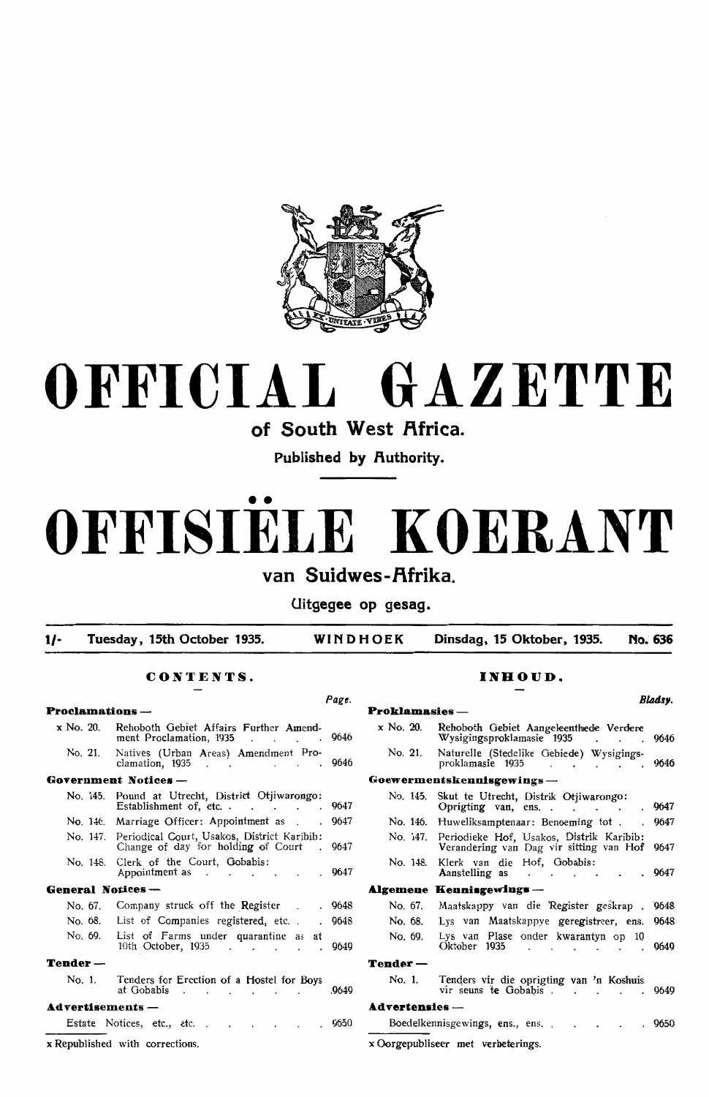

# **OFFICIAL GAZETTE**

**of South West Africa.** 

**Published by Authority.** 

# • • **OFFISIELE KOERANT**  van Suidwes-Afrika.

**Uitgegee op gesag.** 

**1/- Tuesday, 15th October 1935. WINDHOEK Dinsdag, 15 Oktober, 1935. No. 636** 

*Page.* 

#### **CONTENTS.**

| $Proclamations \mathbf -$ |                                                                                                   |       |  |  |  |
|---------------------------|---------------------------------------------------------------------------------------------------|-------|--|--|--|
| x No. 20.                 | Rehoboth Gebiet Affairs Further Amend-<br>ment Proclamation, 1935.                                | 9646  |  |  |  |
| No. 21.                   | Natives (Urban Areas) Amendment Pro-<br>clamation, 1935                                           | 9646  |  |  |  |
|                           | Government Notices-                                                                               |       |  |  |  |
| No. 145.                  | Pound at Utrecht, District Oriiwarongo:<br>Establishment of, etc.                                 | 9647  |  |  |  |
|                           | No. 146. Marriage Officer: Appointment as                                                         | 9647  |  |  |  |
|                           | No. 147. Periodical Court, Usakos, District Karibib:<br>Change of day for holding of Court . 9647 |       |  |  |  |
| No. 148.                  | Clerk of the Court, Gobabis:<br>Appointment as 9647                                               |       |  |  |  |
| General Notices —         |                                                                                                   |       |  |  |  |
| No. 67.                   | Company struck off the Register .                                                                 | 9648  |  |  |  |
| No. 68.                   | List of Companies registered, etc<br>$\mathbf{r}$                                                 | 9648  |  |  |  |
| No. 69.                   | List of Farms under quarantine as<br>at<br>10th October, 1935                                     | 9649  |  |  |  |
| Tender —                  |                                                                                                   |       |  |  |  |
| No. 1.                    | Tenders for Erection of a Hostel for Boys<br>at Gobabis                                           | .9649 |  |  |  |
| Advertisements —          |                                                                                                   |       |  |  |  |
|                           | Estate Notices, etc., etc.<br>$\sim$<br>$\sim$ $\sim$ $\sim$                                      | .9650 |  |  |  |
|                           | x Republished with corrections.                                                                   |       |  |  |  |

#### INHOUD.

|                     |                                                                                                                          | Bladsy. |
|---------------------|--------------------------------------------------------------------------------------------------------------------------|---------|
| <b>Proklamasies</b> |                                                                                                                          |         |
| x No. 20.           | Rehoboth Gebiet Aangeleenthede Verdere<br>Wysigingsproklamasie 1935 .                                                    | 9646    |
| No. 21.             | Naturelle (Stedelike Gebiede) Wysigings-<br>proklam <b>asie</b> 1935<br>and a series of the series of                    | 9646    |
|                     | Goewermentskennisgewings —                                                                                               |         |
| No. 145.            | Skut te Utrecht, Distrik Otjiwarongo:<br>Oprigting van, ens<br>$\mathbf{r}$ , $\mathbf{r}$ , $\mathbf{r}$ , $\mathbf{r}$ | 9647    |
|                     | No. 146. Huweliksamptenaar: Benoeming tot.<br>$\ddot{\phantom{0}}$                                                       | 9647    |
|                     | No. 147. Periodieke Hof, Usakos, Distrik Karibib:<br>Verandering van Dag vir sitting van Hof 9647                        |         |
| No. 148.            | Klerk van die Hof, Gobabis:<br>Aanstelling as<br>$\sim$ $\sim$ $\sim$ $\sim$                                             | . 9647  |
| Algemene            | $\bf$ Kennisgewings $-$                                                                                                  |         |
| No. 67.             | Maatskappy van die Register geskrap . 9648                                                                               |         |
| No. 68.             | Lys van Maatskappye geregistreer, ens.                                                                                   | 9648    |
| No. 69.             | Lys van Plase onder kwarantyn op 10<br>Oktober 1935                                                                      | 9649    |
| $Tender -$          |                                                                                                                          |         |
| No. 1.              | Tenders vir die oprigting van 'n Koshuis<br>vir seuns te Gobabis.                                                        | 9649    |
| $Ad$ vertensies —   |                                                                                                                          |         |
|                     | Boedelkennisgewings, ens., ens.                                                                                          | . 9650  |
|                     | x Oorgepubliseer met verbeterings.                                                                                       |         |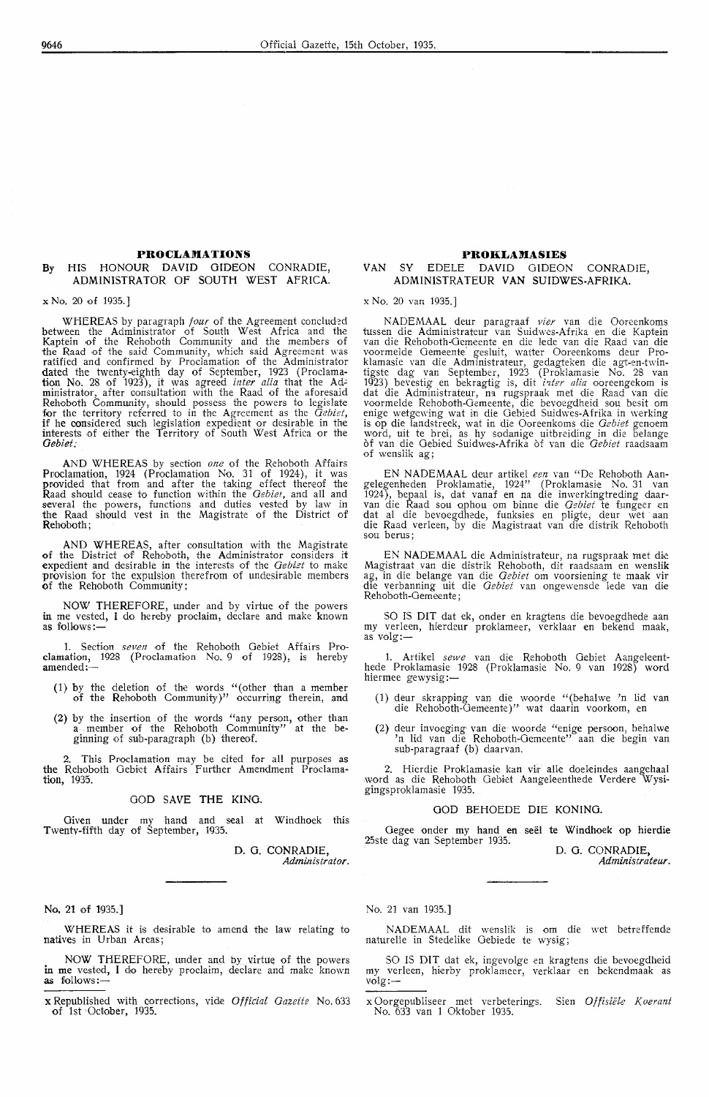#### **PROCLAMATIONS** By HIS HONOUR DAVID GIDEON CONRADIE, ADMINISTRATOR Of SOUTH WEST AFRICA.

x No. 20 of 1935.]

WHEREAS by paragraph *four* of the Agreement concluded between the Administrator of South West Africa and the Kaptein of the Rehoboth Community and the members of the Raad of the said Community, which said Agreement was ratified and confirmed by Proclamation of the Administrator dated the twenty-eighth day of September, 1923 (Proclamation No. 28 of 1923), it was agreed *inter alia* that the Adi-' ministrator, after consultation with the Raad of the aforesaid Rehoboth Community, should possess the powers to legislate for the territory referred to in the Agreement as the *Gebiet*, if he considered such legislation expedient or desirable in the interests of either· the Territory of South West Africa or the *Gebiet;* 

AND WHEREAS by section *one* of the Rehoboth Affairs<br>Proclamation, 1924 (Proclamation No. 31 of 1924), it was<br>provided that from and after the taking effect thereof the Raad should cease to function within the *Oebiet,* and all and several the powers, functions and duties vested by law in the Raad should vest in the Magistrate of the District of Rehoboth;

AND WHEREAS, after consultation with the Magistrate of the District of Rehoboth, the Administrator considers it expedient and desirable in the interests of the *Gebiet* to make provision for the expulsion therefrom of undesirable members of the Rehoboth Community;

NOW THEREFORE, under and by virtue of the powers in me vested, I do hereby proclaim, declare and make known as follows: $-$ 

1. Section *seven* of the Rehoboth Gebiet Affairs Proclamation, 1928 (Proclamation No. 9 of 1928), is hereby amended:-

- (1) by the deletion of the words "(other than a member of the Rehoboth Community)" occurring therein, and
- (2) by the insertion of the words "any person, other than a member of the Rehoboth Community" at the beginning of sub-paragraph (b) thereof.

2. This Proclamation may be cited for all purposes as the Rehoboth Gebiet Affairs Further Amendment Proclamation, 1935.

#### **GOD SAVE THE KING.**

Given under my hand and seal at Windhoek this Twentv-fifth day of September, 1935.

> **D. 0. CONRADIE,**  *AdmJnistrator.*

No. 21 of 1935.]

WHEREAS it is desirable to amend the law relating to natives in Urban Areas;

NOW THEREFORE, under and by virtue of the powers in me vested, I do hereby proclaim, declare and make known **as** follows:-

**x** Republished with corrections, vide *Official Gazette* No. 633 of 1st October, 1935.

#### **PROKLAMASIES**

#### VAN SY EDELE DAVID GIDEON CONRADIE, ADMINISTRATEUR VAN SUIDWES-AFRIKA.

x No. 20 van 1935.]

NADEMAAL deur paragraaf *vier* van die Ooreenkoms tussen die Administrateur van Suidwes-Afrika en die Kaptein<br>van die Rehoboth-Gemeente en die lede van die Raad van die voormelde Oemeente· gesluit, watter Ooreenkoms deur Proklamasie van die Administrateur, gedagteken die agt-en-twintigste dag van September, 1923 (Proklamasie No. 28 van 1923) bevestig en bekragtig is, dit *i-zter alia* ooreengekom is dat die Administrateur, na rugspraak met die Raad van die voormelde Rehoboth-Oemeente, die bevoegdheid sou besit om enige wetgewing wat in die Gebied Suidwes-Afrika in werking is op die landstreek, wat in die Ooreenkoms die *Oebiet* genoem word, uit te brei, as hy sodanige uitbreiding in die belange of van die Oebied Suidwes-Afrika of van die *Oebiet* raadsaam of wenslik ag;

EN NADEMAAL deur artikel een van "De Rehoboth Aan-gelegenheden Proklamatie, 1924" (Proklamasie No. 31 van 1924), bepaal is, dat vanaf en na die inwerkingtreding daar-Van die Raad sou ophou om binne die *Gebiet* te fungeer en<br>dat al die bevoegdhede, funksies en pligte, deur wet aan<br>die Raad verleen, by die Magistraat van die distrik Rehoboth<br>sou berus:

EN NADEMAAL die Administrateur, na rugspraak met die Magistraat van die distrik Rehoboth, dit raadsaam en wenslik ag, in die belange van die *Oebiet* om voorsiening te maak vir die verbanning uit die *Oebiet* van ongewensde lede van die Rehoboth-Oemeente;

SO IS DIT dat ek, onder en kragtens die bevoegdhede aan my verleen, hierdeur proklameer, verklaar en bekend maak, as volg:-

1. Artikel *sewe* van die Rehoboth Oebiet Aangekent- hede Proklamasie 1928 (Proklamasie No. 9 van 1928) word hiermee gewysig:-

- (1) deur skrapping van die woorde "(behalwe **'n** lid van die Rehoboth-Gemeente )" wat daarin voorkom, en
- (2) deur invoeging van die woorde "enige persoon, behalwe<br>In lid van die Rehoboth-Gemeente" aan die begin van sub-paragraaf (b) daarvan.

2. Hierdie Proklamasie kan vir alle doeleindes aangehaal word as die Rehoboth Gebiet Aangeleenthede Verdere Wysigingsproklamasie 1935.

#### GOD BEHOEDE DIE KONING.

Gegee onder my hand en seel te Windhoek op hierdie 25ste dag van September 1935.

D. 0. **CONRADIE,**  *Administrateur.* 

No. 21 van 1935.]

NADEMAAL dit wenslik is om die wet betreffende naturelle in Stedelike Oebiede te wysig;

SO IS DIT dat ek, ingevolge en kragtens die bevoegdheid my verleen, hierby proklameer, verklaar en bekendmaak as volg:-

x Oorgepubliseer met verbeterings. Sien *Offisiele K oerant*  No. 633 van 1 Oktober 1935.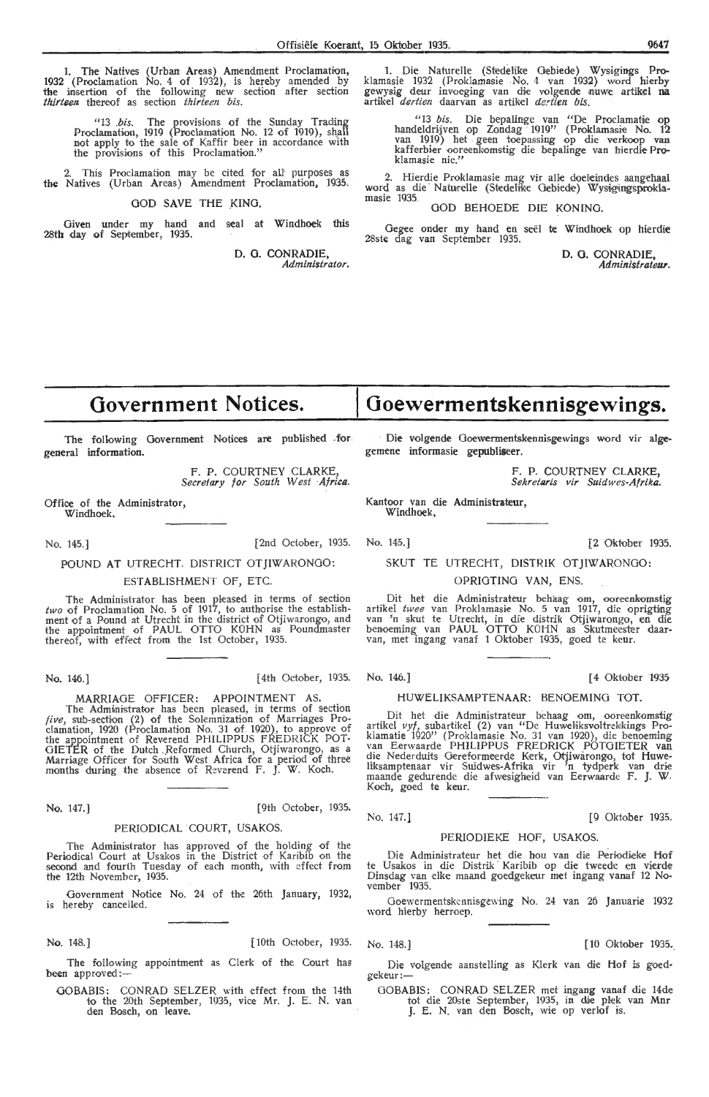1. The Natives (Urban Areas) Amendment Proclamation, 1932 (Proclamation No. 4 of 1932), is hereby amended by the insertion of the following new section after section *thirteen* thereof as section *thirteen bis.* 

"13 *.bis.* The provisions of the Sunday Trading Proclamation, 1919 (Proclamation No. 12 of 1919), shall not apply to the sale of Kaffir beer in accordance with the provisions of this Proclamation."

2. This Proclamation may be cited for all purposes as the Natives (Urban Areas) Amendment Proclamation, 1935.

#### **GOD SAVE THE KING,**

Given under my hand and seal at Windhoek this 28th day of September, 1935.

> **D.** 0. CONRADIE, *Administrator.*

1. Die Naturelle (Stedelike Oebiede) Wysigings Proklamasie 1932 (Proklamasie No. 4 van 1932) word hierby ge'Yysig deur invoeging van die volg,ende nuwe artikd **na**  artikel *dertien* daarvan as artikel *dertien bis.* 

"13 *bis.* Die bepalinge van "De Proclamatie op handeldrijven op Zondag 1919'' (Proklamasie No. 12<br>van 1919) het geen toepassing op die verkoop van kafferbier ooreenkomstig die bepalinge van hierdie Proklamasie nie."

2. Hierdie Proklamasie mag vir alle doeleindes aangehaal word as die Naturelle (Stedelike Gebiede) Wysigingsproklamasie 1935. GOD BEHOEDE DIE KONING.

Gegee onder my hand en seël te Windhoek op hierdie 28ste dag van September 1935.

> D. G. CONRADIE *Administrateur.*

# **Government Notices.**

The following Government Notices are published . for general information.

> F. P. COURTNEY CLARKE, *Secretary for South West Africa.*

Office of the Administrator, Windhoek.

No. 145.] [2nd October, 1935. No. 145.] [2 Oktober 1935.

POUND AT UTRECHT. DISTRICT OT JIWARONGO:

#### ESTABLISHMENT OF, ETC.

The Administrator has been pleased in terms of section *two* of Proclamation No. 5 of 1917, to authorise the establishment of a Pound at Utrecht in the district of Otjiwarongo, and the appointment of PAUL OTTO KUHN as Poundmaster thereof, with effect from the 1st October, 1935.

No. 146.] [ 4th October, 1935. No. 146.] [ 4 Oktober 1935

MARRIAGE OFFICER: APPOINTMENT AS. The Administrator has been pleased, in terms of section *five,* sub-section (2) of the Solemnization of Marriages Pro-clamation, 1920 (Proclamation No. 31 of 1920), to approve of the appointment of Reverend PHILIPPUS FREDRICK POT-GIETER of the Dutch .Reformed Church, Otjiwarongo, as a<br>Marriage Officer for South West Africa for a period of three months during the absence of Reverend F. J. W. Koch.

No. 147.) [9th October, 1935.

#### PERIODICAL COURT, USAKOS.

The Administrator has approved of the holding of the Periodical Court at Ussikos in the District of Karibib on the second and fourth Tuesday of each month, with effect from the 12th November, 1935.

Government Notice No. 24 of the 26th January, 1932, is hereby cancelled.

No. 148.] [10 Oktober 1935. [10th October, 1935. No. 148.] [10 Oktober 1935.

The following appointment as Clerk of the Court has been approved:-

OOBABIS: CONRAD SELZER with effect from the 14th to the 20th September, 1935, vice Mr. J. E. N. van den Bosch, on leave.

Die volgende Ooewermentskennisgewings word vir algegemene informasie gepubliseer.

**Goewermentskennisgewings.** 

F. P. COURTNEY CLARKE, *Sekretaris vir Suidwes-Afrika.* 

Kantoor van die Administrateur, Windhoek,

#### SKUT TE UTRECHT, DISTRIK OTJIWARONGO:

#### OPRIOTINO VAN, ENS.

Dit het die Administrateur behaag om, ooreenkomstig artikel *twee* van Proklamasie No. 5 van 1917, die oprigttng van 'n skut te Utrecht, in die distrik Otjiwarongo, en die benoeming van PAUL OTTO KUHN as Skutmeester daarvan, met ingang vanaf 1 Oktober 1935, goed te keur.

#### HUWEL!KSAMPTENAAR: BENOEMING TOT.

Dit het die Administrateur behaag om, ooreenkomstig artikel *vyf,* subartikel (2) van "De Huwdiksvoltrekikings Proklamatie 1920" (Proklamasie No. 31 van 1920), die benoeming<br>van Eerwaarde PHILIPPUS FREDRICK POTGIETER van<br>die Nederduits Gereformeerde Kerk, Otjiwarongo, tot Huwe-<br>liksamptenaar vir Suidwes-Afrika vir 'n tydperk van drie<br>

No. 147.] [9 Oktober 1935.

### PERIODJEKE HOF, USAKOS.

Die Administrateur het die hou van die Periodieke Hof te Usakos in die Distrik Karibib op die tweede en vierde Dinsdag van elke maand goedgekeur met ingang vanaf 12 November 1935.

Goewermentskennisgewing No. 24 van 26 Januarie 1932 word hierby herroep.

Die volgende aanstelling as Klerk van die Hof is goedgekeur:-

GOBABIS: CONRAD SELZER met ingang vanaf die 14de tot die 20ste September, 1935, in die plek van Mnr J. E. N. van den Bosch, wie op verlof is.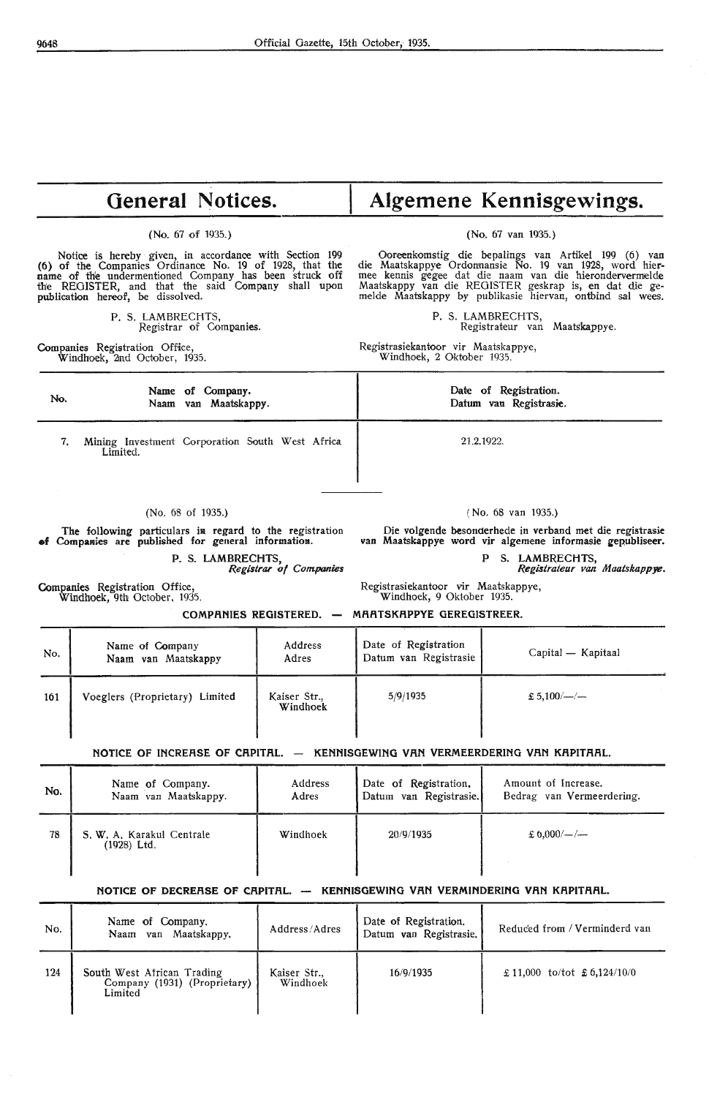### **General Notices.**

(No. 67 of 1935.)

Notice is hereby given, in accordance with Section 199 (6) of the Companies Ordinance No. 19 of 1928, that the name of the undermentioned Company has been struck off the REGISTER, and that the said Company shall upon publication hereof, be dissolved.

> P. S. LAMBRECHTS, Registrar of Companies.

Companies Registration Office, Windhoek, 2nd October, 1935.

## **Algemene Kennisgewings.**

(No. 67 van 1935.)

Ooreenkomstig die bepalings van Artikel 199 (6) van die Maatskappye Ordonnansie No. 19 van 1928, word hier-<br>mee kennis gegee dat die naam van die hierondervermelde Maatskappy van die REGISTER geskrap is, en dat die gemelde Maatskappy by publikasie hiervan, ontbind sal wees.

P. S. LAMBRECHTS,

Registrateur van Maatskappye.

Registrasiekantoor vir Maatskappye, Windhoek, 2 Oktober 1935.

| Name of Company.<br>No.<br>Naam van Maatskappy.                                                                |                     |         | Date of Registration.<br>Datum van Registrasie.                                                                       |                    |  |
|----------------------------------------------------------------------------------------------------------------|---------------------|---------|-----------------------------------------------------------------------------------------------------------------------|--------------------|--|
| Mining Investment Corporation South West Africa<br>7.<br>Limited.                                              |                     |         | 21, 2, 1922.                                                                                                          |                    |  |
|                                                                                                                |                     |         |                                                                                                                       |                    |  |
|                                                                                                                | $(No. 68$ of 1935.) |         | $(No. 68$ van 1935.)                                                                                                  |                    |  |
| The following particulars in regard to the registration<br>of Companies are published for general information. |                     |         | Die volgende besonderhede in verband met die registrasie<br>van Maatskappye word vir algemene informasie gepubliseer. |                    |  |
| P. S. LAMBRECHTS,<br>Registrar of Companies                                                                    |                     |         | S. LAMBRECHTS,<br>P<br>Registrateur van Maatskappye.                                                                  |                    |  |
| <b>Companies</b> Registration Office,<br>Windhoek, 9th October, 1935.                                          |                     |         | Registrasiekantoor vir Maatskappye,<br>Windhoek, 9 Oktober 1935.                                                      |                    |  |
|                                                                                                                |                     |         | COMPANIES REGISTERED. - MAATSKAPPYE GEREGISTREER.                                                                     |                    |  |
| $N_{\Omega}$                                                                                                   | Name of Company     | Address | Date of Registration                                                                                                  | Capital — Kapitaal |  |

| No. | Name of Company<br>Naam van Maatskappy | Address<br>Adres         | Date of Registration<br>Datum van Registrasie | Capital — Kapitaal |
|-----|----------------------------------------|--------------------------|-----------------------------------------------|--------------------|
| 161 | Voeglers (Proprietary) Limited         | Kaiser Str.,<br>Windhoek | 5/9/1935                                      | $£ 5,100/$ - / -   |

#### **NOTICE OF INCREASE OF CAPITAL. - KENNISGEWING VAN VERMEERDERING VAN KAPITAAL.**

| No. | Name of Company.                           | Address  | Date of Registration.  | Amount of Increase.       |
|-----|--------------------------------------------|----------|------------------------|---------------------------|
|     | Naam van Maatskappy.                       | Adres    | Datum van Registrasie. | Bedrag van Vermeerdering. |
| 78  | S. W. A. Karakul Centrale<br>$(1928)$ Ltd. | Windhoek | 20/9/1935              | $\pounds 6.000/-$ /--     |

#### **NOTICE OF DECRERSE OF CAPITAL. - KENNISGEWING VAN VERMINDERING VAN KAPITAAL.**

| No. | Name of Company.<br>van Maatskappy.<br>Naam                           | Address/Adres            | Date of Registration.<br>Datum van Registrasie. | Reduced from / Verminderd van    |
|-----|-----------------------------------------------------------------------|--------------------------|-------------------------------------------------|----------------------------------|
| 124 | South West African Trading<br>Company (1931) (Proprietary)<br>Limited | Kaiser Str.,<br>Windhoek | 16/9/1935                                       | $£ 11,000$ to/tot $£ 6,124/10/0$ |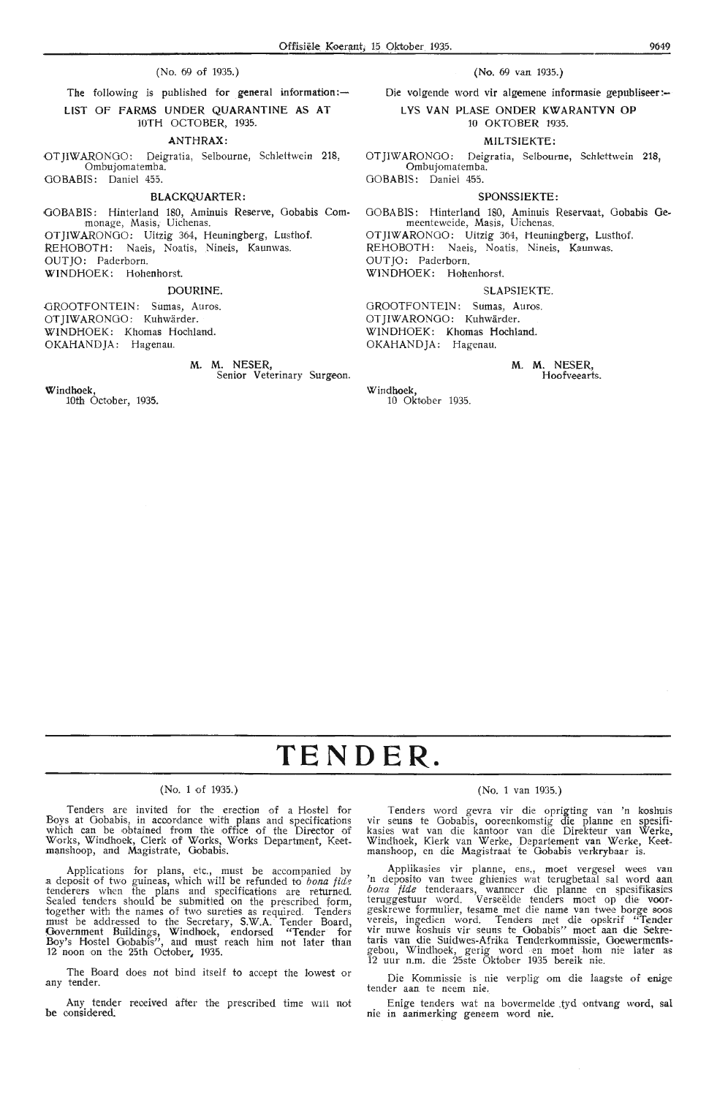#### (No. 69 of 1935.)

The following is published for general information: $-$ LIST OF FARMS UNDER QUARANTINE AS AT 10TH OCTOBER, 1935.

#### **ANTHRAX:**

OTJIWARONOO: Deigratia, Selbourne, Schlettwein 218, Ombujomatemba. GOBABIS: Daniel 455.

#### **BLACKQUARTER:**

GOBABIS: Hinterland 180, Aminuis Reserve, Gobabis Commonage, Masis, Uichenas. OTJIWARONOO: Uitzig 364, Heuningberg, Lusthof. REHOBOTH: Naeis, Noatis, Nineis, Kaunwas. OUTJO: Paderborn. WINDHOEK: Hohenhorst.

#### **DOURINE.**

GROOTFONTEIN: Sumas, Auros. OT JIWARONGO: Kuhwärder. WINDHOEK: Khomas Hochland. OKAHANDJA: Hagenau.

**M. M.** NESER,

Senior Veterinary Surgeon.

Windhoek,

10th October, 1935.

(No. 69 van 1935.)

Die volgende word vir algemene informasie gepubliseer:-L **VS VAN PLASE ONDER KWARANTYN OP** 

#### 10 OKTOBER 1935.

#### **MILTSIEKTE:**

OT JIW ARO NGO: Deigratia, Selbourne, Schlettwein **218,**  Ombujomatemba. GOBABIS: Daniel 455.

#### **SPONSSIEKTE:**

GOBABIS: Hinterland 180, Aminuis Reservaat, Oobabis **Oe**meenteweide, Masis, Uichenas. OT JIWARONGO: Uitzig 364, Heuningberg, Lusthof. REHOBOTH: Naeis, Noatis, Nineis, Kaunwas. OUT JO: Paderborn. WINDHOEK: Hohenhorst.

#### SLAPSIEKTE.

GROOTFONTEIN: Sumas, Auros. OT JIWARONGO: Kuhwärder. WINDHOEK: Khomas Hochland. OKAHANDJA: Hagenau.

> M. M. NESER, Hoofveearts.

Windhoek, 10 Oktober 1935.

# **TENDER.**

#### (No. 1 of 1935.)

Tenders are invited for the erection of a Hostel for Boys at Oobabis, in accordance with plans and specificattons which can be obtained from the office of the Director of Works, Windhoek, Clerk of Works, Works Department, Keet-<br>manshoop, and Magistrate, Gobabis.

Applications for plans, etc., must be acoompanied by a deposit of two guineas, which will be refunded to bona fide tenderers when the plans and specifications are returned. Sealed tenders should be submitted on the prescribed form, together with the names of two sureties as required. Tenders must be addressed to the Secretary, S.W.A. Tender Board, Government Buildings, Windhoek, endorsed "Tender for Boy's Hostel Gobabis", and must reach him not later than<br>Boy's Hostel Gobabis", and must reach him not later than 12 noon on the 25th October, 1935.

The Board does not bind itself to accept the lowest or any tender.

Any tender received after the prescribed time will not be considered.

#### (No. 1 van 1935.)

Tenders word gevra vir die oprigting van 'n koshuis vir seuns te Gobabis, ooreenkomstig die planne en spesifi-<br>kasies wat van die kantoor van die Direkteur van Werke, Windhoek, Klerk van Werke, Departement van Werke, Keetmanshoop, en die Magistraat te Gobabis verkrybaar is.

Applikasies vir planne, ens., moet vergesel wees van 'n deposito van twee ghienies wat terugbetaal sal word aan bona fide tenderaars, wanneer die planne en spesifikasies teruggestuur word. Verseëlde tenders moet op die voor-<br>geskrewe formulier, tesame met die name van twee borge soos<br>vereis, ingedien word. Tenders met die opskrif "Tender vir nuwe koshuis vir seuns te Gobabis" moet aan die Sekretaris van die Suidwes-Afrika Tenderkommissie, Goewermentsgebou, Windhoek, gerig word en moet hom nie later as 12 uur n.m. die 25ste Oktober 1935 bereik nie.

Die Kommissie is nie verplig om die laagste of enige tender aan te neem nie.

Enige tenders wat na bovermelde .tyd ontvang word, sal nie in aarimerking geneem word nie.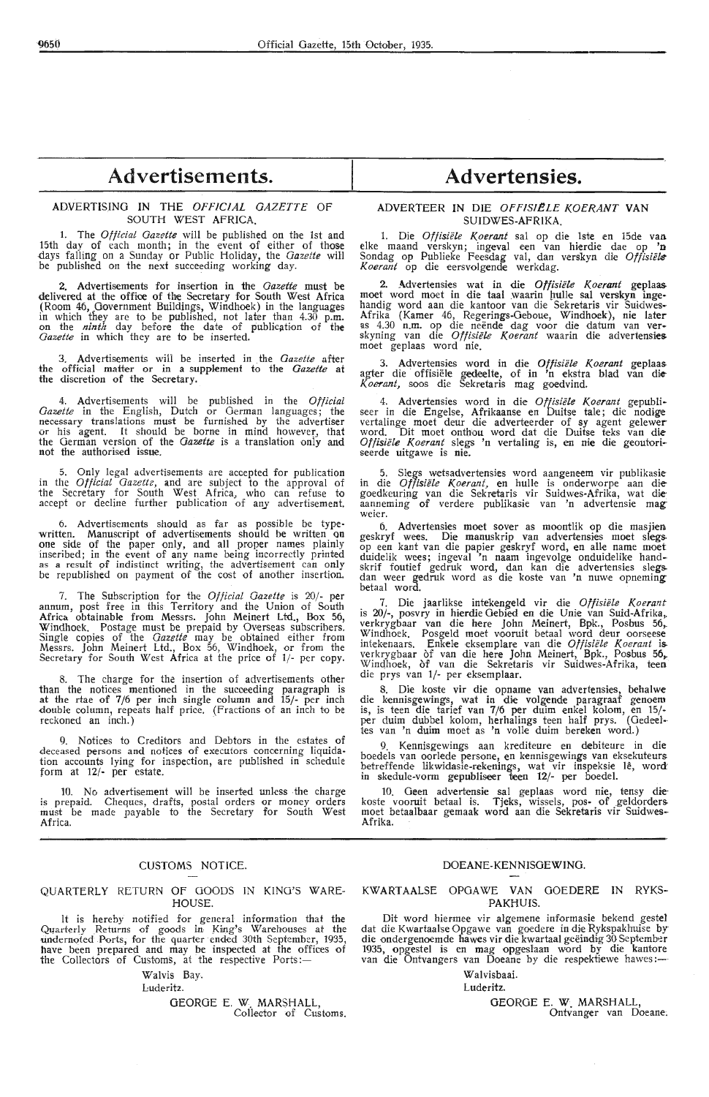#### ADVERTISING IN THE *OFFICIAL GAZETTE* OF SOUTH WEST AFRICA.

I. The *Official Gazette* will be published on the 1st and 15th day of each month; in the event of either of those days falling on a Sunday or Public Holiday, the *Gazette* will be published on the next succeeding working day.

2. Advertisements for insertion in the *Gazette* must be delivered at the office of the Secretary for South West Africa (Room 46, Government Buildings, Windhoek) in the languages<br>in which they are to be published, not later than 4.30 p.m.<br>on the *ninth* day before the date of publication of the *Gazette* in which they are to be inserted.

3. Advertisements wili be inserted in the *Gazette* after the official matter or in a supplement to the *Gazette* at the discretion of the Secretary.

4. Advertisements will be published in the *Official Gazette* in the English, Dutch or German languages; the necessary translations must be furnished by the advertiser or his agent. It should be borne in mind however, that the German version of the *Gazette* is a translation only and not the authorised issue.

5. Only legal advertisements are accepted for publication in the *Official Gazette,* and are subject to the approval of the Secretary for South West Africa, who can refuse to accept or decline further publication of any advertisement.

Advertisements should as far as possible be type written. Manuscript of advertisements should be written on one side of the paper only, and all proper names plainly inseribed; in the event of any name being incorrectly printed as a result of indistinct writing, the advertisement can only be republished on payment of the cost of another insertion.

7. The Subscription for the *Official Gazette* is 20/- per annum, post free in this Territory and the Union of South Africa obtainable from Messrs. John Meinert Ltd., Box 56, Windhoek. Postage must be prepaid by Overseas subscribers*.*<br>Single copies of the *Gazette* may be obtained either from Messrs. John Meinert Ltd., Box 56, Windhoek, or from the Secretary for South West Africa at the price of 1/- per copy.

8. The charge for the insertion of advertisements other than the notices mentioned in the sucoeeding paragraph is at the rtae of 7/6 per inch single column and 15/- per inch double column, repeats half price. (Fractions of an inch to be  $reckoned$  an  $inch.)$ 

9. Notices to Creditors and Debtors in the estates of deceased persons and notices of executors concerning liquidation accounts lying for inspection, are published in schedule form at **12/·** per estate.

10. No advertisement will be inserted unless the charge is prepaid. Cheques, drafts, postal orders or money orders must be made payable to the Secretary for South West Africa.

#### CUSTOMS NOTICE.

#### QUARTERLY RETURN OF GOODS IN KING'S WARE-HOUSE.

It is hereby notified for general information that the Quarterly Returns of goods in King's Warehouses at the undernoted Ports, for the quarter ended 30th September, 1935, have been prepared and may be inspected at the offices of the Collectors of Customs, at the respective Ports:-

Walvis Bay.

Luderitz.

GEORGE E. W. MARSHALL,<br>Collector of Customs.

## **Advertensies.**

#### ADVERTEER IN DIE OFFISIELE KOERANT VAN SUIDWES-AFRIKA.

1. Die *Offisiifle Koerant* sal op die lste en 15de van elke maand verskyn; ingeval een van hierdie dae op 'n Sondag op Publieke Feesdag val, dan verskyn die Offisiële *Koerant* op die eersvolgende werkdag.

2. Advertensies wat in die *Offisiele Koerant* geplaas moet word moet in die taal waarin hulle sal verskyn ingehandig word aan die kantoor van die Sekretaris vir Suidwes• Afrika (Kamer 46, Regerings-Oeboue, Windhoek), nie later as 4.30 n.m. op die neënde dag voor die datum van ver-<br>skyning van die *Offisiële Koerant* waarin die advertensies moet geplaas word nie.

3. Advertensies word in die Offisiële Koerant geplaas<br>agter die offisiële gedeelte, of in 'n ekstra blad van die K *oerant,* soos die Sekretaris mag goedvind.

4. Advertensies word in die *Offisiële Koerant* gepubli-<br>seer in die Engelse, Afrikaanse en Duitse tale; die nodige vertalinge moet deur die adverteerder of sy agent gelewer word. Dit moet onthou word dat die Duitse teks van die *Offisiifle Koerant* slegs 'n vertaling is, en **nie** die geoutoriseerde uitgawe is nie.

5. Slegs wctsadvertensies word aangeneem vir publikasie in die *Offisiifle Koerant,* en hulle is onderworpe aan diegoedkeuring van die Sekretaris vir Suidwes-Afrika, wat **die·**  aanneming of verdere publikasie van 'n advertensie mag weier.

6. Advertensies moet sover as moontlik op die masjien geskryf wees. Die manuskrip van adverlensies moet slegs. op een kant van die papier geskryf word, en alle name moet duidelik wees; ingeval 'n naam ingevolge onduidelike handskrif foutief gedruk word, dan kan die advertensies siegs. dan weer gedruk word as die koste van 'n nuwe opneming betaal word.

7. Die jaarlikse intekengeld vir die *Offisiele Koerant*  is 20/-, posvry in hierdie Gebied en die Unie van Suid-Afrika,.<br>verkrygbaar van die here John Meinert, Bpk., Posbus 56,. Windhoek. Posgeld moet vooruit betaal word deur oorseese<br>intekenaars. Enkele eksemplare van die *Offisiële Koerant* is. verkrygbaar of van die here John Meinert, Bpk., Posbus 56, Windhoek, of van die Sekretaris vir Suidwes-Afrika, teen die prys van 1/- per eksemplaar.

8. Die koste vir die opname van advertensies, behalwe die kennisgewings, wat in die volgende paragraaf genoem is, is teen die tarief van 7/6 per duim enkel kolom, en 15/-<br>per duim dubbel kolom, herhalings teen half prys. (Gedeel-<br>tes van 'n duim moet as 'n volle duim bereken word.)

9. Kennisgewings aan krediteure en debiteure in die boedels van oorlede persone, en kennisgewings van eksekuteurs betreffende likwidasie-rekenings, wat vir inspeksie lê, word:<br>in skedule-vorm gepubliseer teen 12/- per boedel.

10. Geen advertensie sal geplaas word nie, tensy **die·** koste vooruit betaal is. Tjeks, wissels, pos- of g,eldorders moet betaalbaar gemaak word aan die Sekretaris vir Suidwes-<br>Afrika.

#### DOEANE-KENNISGEWlNG.

#### KW ART AALSE OPGA WE VAN OOEDERE IN RYKS-PAKHUIS.

Dit word hiermee vir algemene informasie bekend gestel dat die Kwartaalse Opgawe van goedere in die Rykspakhuise by·<br>die ondergenoemde hawes vir die kwartaal geëindig 30 September 1935, opgestel is en mag opgeslaan word by die kantore<br>van die Ontvangers van Doeane by die respektiewe hawes :-

Walvishaai.

#### Luderitz.

GEORGE E. W. MARSHALL Ontvanger van Doeane;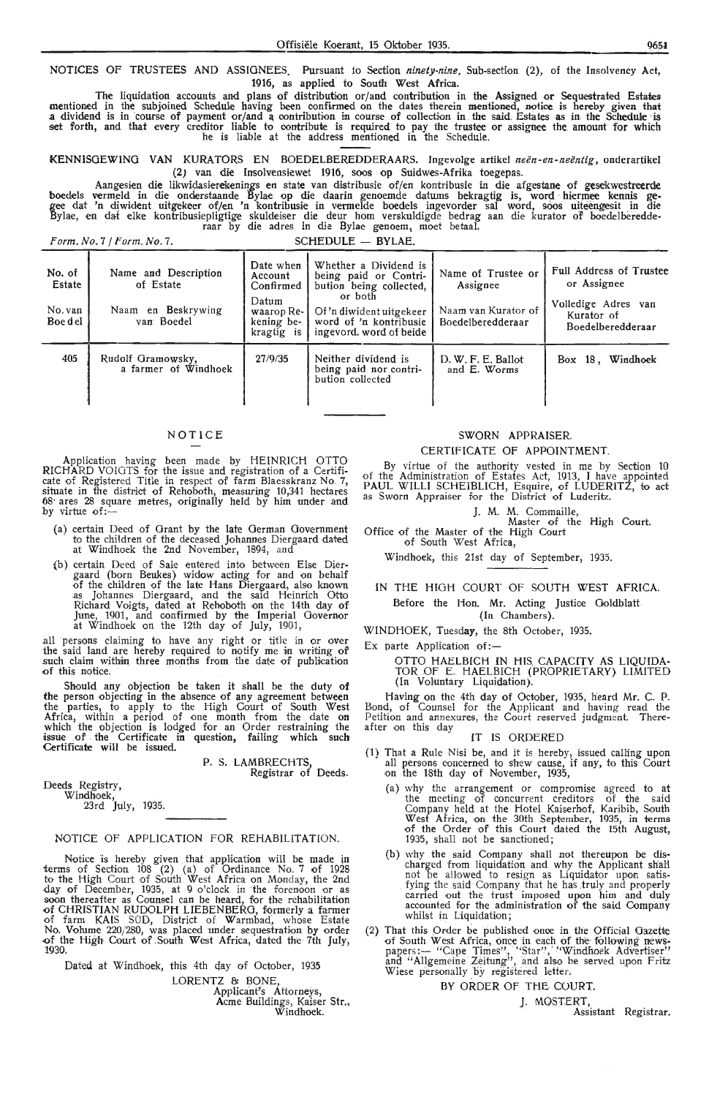NOTICES OF TRUSTEES AND ASSIGNEES. Pursuant fo Section *ninety-nine,* Sub-section (2), of the Insolvency Act, 1916, as applied to South West **Africa.** 

The liquidation accounts and plans of distribution or/and contribution in the Assigned or Sequestrated Estates mentioned in the subjoined Schedule having been confirmed on the dates therein mentioned, notice is hereby given that<br>a dividend is in course of payment or/and a contribution in course of collection in the said Estates as set forth, and that every creditor liable fo contribute is required to pay the trustee or assignee the amount for which he is liable at the address mentioned in the Schedule.

KENNISGEWING VAN KURATORS EN BOEDELBEREDDERAARS. Ingevolge artikel *neën-en-neëntig*, onderartikel (2) van die Insolvensiewet 1916, soos op Suidwes-Afrika toegepas.

Aangesien die likwidasierekenings en state van distribusie of/en kontribusie in die afgestane of gesekwestreerde boedels vermeld in die onderstaande Bylae op die daarin genoemde datums bekragtig is, word hiermee kennis gegee dat 'n diwident uitgekeer of/en 'n kontribusie in vermelde boedels ingevorder sal word, soos uiteengesit in die Bylae, en dat elke kontribusiepligtige skuldeiser die deur hom verskuldigde bedrag aan die kurator of boedelberedde-<br>raar by die adres in die Bylae genoem, moet betaal.

Form. No. 7 / Form. No. 7. SCHEDULE - BYLAE.

| No. of<br>Estate<br>No. van<br>Boe del | Name and Description<br>of Estate<br>Naam en Beskrywing<br>van Boedel | Date when<br>Account<br>Confirmed<br>Datum<br>waarop Re-<br>kening be-<br>kragtig is | Whether a Dividend is<br>being paid or Contri-<br>bution being collected,<br>or both<br>Of 'n diwident uitgekeer<br>word of 'n kontribusie<br>ingevord, word of beide | Name of Trustee or<br>Assignee<br>Naam van Kurator of<br>Boedelberedderaar | <b>Full Address of Trustee</b><br>or Assignee<br>Volledige Adres van<br>Kurator of<br>Boedelberedderaar |
|----------------------------------------|-----------------------------------------------------------------------|--------------------------------------------------------------------------------------|-----------------------------------------------------------------------------------------------------------------------------------------------------------------------|----------------------------------------------------------------------------|---------------------------------------------------------------------------------------------------------|
| 405                                    | Rudolf Gramowsky,<br>a farmer of Windhoek                             | 27/9/35                                                                              | Neither dividend is<br>being paid nor contri-<br>bution collected                                                                                                     | D. W. F. E. Ballot<br>and E. Worms                                         | Windhoek<br>$Box$ 18.                                                                                   |

#### NOTICE

Application having been made by HEINRICH OTTO RICHARD VOIOTS for the issue and registration of a Certificate of Registered Title in respect of farm Blaesskranz No. 7, situate in the district of Rehoboth, measuring 10,341 hectares 68· ares 28 square metres, originally held by him under and by virtue of:-

- (a) certain Deed of Grant by the late German Government to the children of the deceased Johannes Diergaard dated at Windhoek the 2nd November, 1894, and
- (b) certain Deed of Sale entered into between Else Diergaard (born Beukes) widow acting for and on behalf of the children of the late Hans Diergaard, also known as Johannes Diergaard, and the said Heinrich Otto Richard Voigts, dated at Rehoboth on the 14th day of June, 1901, and oonfirmed by the Imperial Governor at Windhoek on the 12th day of July, 1901,

all persons claiming to have any right or title in or over the said land are hereby required to notify me in writing of such claim within three months from the date of publication of this notice.

Should any objection be taken it shall be the duty **of the** person objecting in the absence of any agreement between the parties, to apply to the High Court of South West Africa, within a period of one month from the date on which the objection is lodged for an Order restraining the issue of the Certificate in question, failing which such Certificate will be issued.

> P. S. LAMBRECHTS Registrar of Deeds.

Deeds Registry, Windhoek,

23rd July, 1935.

#### NOTICE OF APPLICATION FOR REHABILITATION.

Notice is hereby given that application will be made in terms of Section 108 (2) (a) of Ordinance No. 7 of 1928 to the High Court of South West Africa on Monday, the 2nd day of December, 1935, at 9 o'clock in the forenoon or as soon thereafter as Counsel can be heard, for the rehabilitation of CHRISTIAN RUDOLPH LIEBENBERG, formerly a farmer of farm KAIS SÜD, District of Warmbad, whose Estate No. Volume 220/280, was placed under sequestration by order -0f the High Oourt of .South West Africa, dated the 7th July, 1930,

Dated at Windhoek, this 4th day of October, 1935 LORENTZ & BONE, Applicant's Attorneys, Acme Buildings, Kaiser Str., Windhoek.

#### SWORN APPRAISER.

#### CERTIFICATE OF APPOINTMENT.

By virtue of the authority vested in me by Section 10 of the Administration of Estates Act, 1913, I have appointed PAUL WILLI SCHEIBLICH, Esquire, of LUDERITZ, to act as Sworn Appraiser for the District of Luderitz.

J. M. M. Commaille,

Master of the High Court. Office of the Master of the High Court of South West Africa,

Windhoek, this 21st day of September, 1935.

#### IN THE HIGH COURT OF SOUTH WEST AFRICA. Before the Hon. Mr. Acting Justice Goldblatt (In Chambers).

WINDHOEK, Tuesday, the 8th October, 1935.

Ex parte Application of: $-$ 

OTTO HAELBICH IN HIS. CAPACITY AS LIQUIDA-TOR OF E. HAELBICH (PROPRIETARY) LIMITED (In Voluntary Liquidation).

Having on the 4th day of October, 1935, heard **Mr.** C. P. Bond, of Counsel for the Applicant and having read the Petition and annexures, the Court reserved judgment. Thereafter on this day

#### IT IS ORDERED

- (1) That a Rule Nisi be, and it *is* hereby, issued calling upon all persons concerned to shew cause, if any, to this Court on the 18th day of November, 1935,
	- (a) why the arrangement or compromise agreed to at the meeting of concurrent creditors of the said Company held at the Hotel Kaiserhof, Karibib, South West Africa, on the 30th September, 1935, in terms of the Order of this Court dated the 15th August, 1935, shall not be sanctioned;
	- (b) why the said Company shall not thereupon be discharged from liquidation and why the Applicant shall not be allowed to resign as Liquidator upon satisfying the said Company that he has truly and properly carried out the trust imposed upon him and duly accounted for the administration of the said Company whilst in Liquidation;
- (2) That this Order be published once in the Official Gazette of South West Africa, once in each of the following news-<br>papers: -- "Cape Times", "Star", "Windhoek Advertiser" and "Allgemeine Zeitung", and also be served upon Fritz Wiese personally by registered letter.

BY ORDER OF THE COURT.

J. MOSTERT,<br>Assistant Registrar.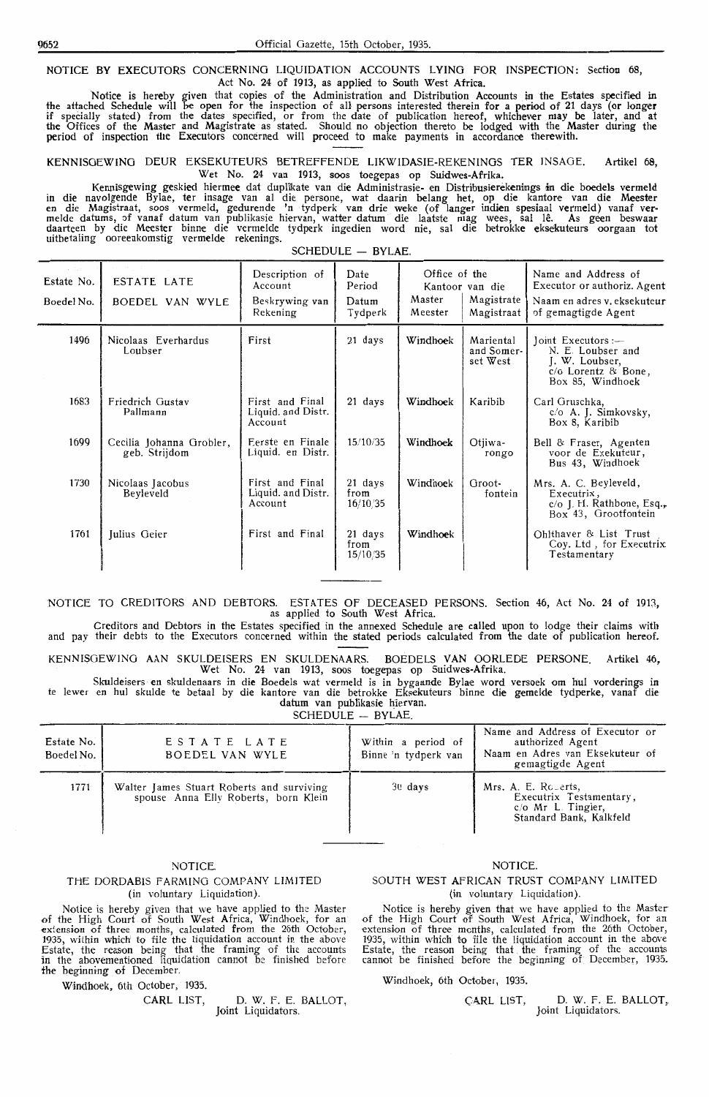NOTICE BY EXECUTORS CONCERNING LIQUIDATION ACCOUNTS LYING FOR INSPECTION: Section 68, Act No. 24 of 1913, as applied to South West Africa.

Notice is hereby given that copies of the Administration and Distribution Accounts iin the Estates specified in the attached Schedule will be open for the inspection of all persons interested therein for a period of 21 days (or longer if specially stated) from the dates specified, or from the date of publication hereof, whichever may be later, and at the Offices of the Master and Magistrate as stated. Should no objection thereto be lodged with the Master during the period of inspection the Executors concerned will proceed to make payments in accordance therewith.

**KENNISGEWING** DEUR EKSEKUTEURS BETREFFENDE LIKWIDASIE-REKENINGS TER INSAGE. Artikel 6S, Wet No. 24 van 1913, soos toegepas op Suidwes-Afrika.

Kennisgewing geskied hiermee dat duplikate van die Administrasie- en Distribusierekenings in die boedels vermeld in die navolgende Bylae, ter insage van al die persone, wat daarin belang bet, op die kantore van die **Meester**  en die Magistraat, soos vermeld, gedurende 'n tydperk van drie weke (of !anger indien spesiaal vermeld) vanaf **ver**melde datums, of vanaf datum van publikasie hiervan, watter datum die laatste mag wees, sal lê. As geen beswaar daarteen by die Meester binne die vermelde tydperk ingedien word nie, sal die betrokk**e e**ksekuteurs oorgaan tot uitbetaling ooreenkomstig vermelde rekenings.  $SCHFDUIF = BVIAF$ 

| o Con<br>Estate No.<br>Boedel No. | ESTATE LATE<br>BOEDEL VAN WYLE            | Description of<br>Account<br>Beskrywing van<br>Rekening | Date<br>Period<br>Datum<br>Tydperk | Office of the<br>Master<br>Meester | Kantoor van die<br>Magistrate<br>Magistraat | Name and Address of<br>Executor or authoriz. Agent<br>Naam en adres v. eksekuteur<br>of gemagtigde Agent |
|-----------------------------------|-------------------------------------------|---------------------------------------------------------|------------------------------------|------------------------------------|---------------------------------------------|----------------------------------------------------------------------------------------------------------|
| 1496                              | Nicolaas Everhardus<br>Loubser            | First                                                   | 21 days                            | Windhoek                           | Mariental<br>and Somer-<br>set West         | Joint Executors :-<br>N. E. Loubser and<br>J. W. Loubser,<br>c/o Lorentz & Bone,<br>Box 85, Windhoek     |
| 1683                              | Friedrich Gustav<br>Pallmann              | First and Final<br>Liquid. and Distr.<br>Account        | 21 days                            | Windhoek                           | Karibib                                     | Carl Gruschka,<br>c/o A. J. Simkovsky,<br>Box 8, Karibib                                                 |
| 1699                              | Cecilia Johanna Grobler,<br>geb. Strijdom | Eerste en Finale<br>Liquid. en Distr.                   | 15/10/35                           | Windhoek                           | Otjiwa-<br>rongo                            | Bell & Fraser, Agenten<br>voor de Exekuteur,<br>Bus 43, Windhoek                                         |
| 1730                              | Nicolaas Jacobus<br>Beyleveld             | First and Final<br>Liquid. and Distr.<br>Account        | 21 days<br>from<br>16/10/35        | Windhoek                           | Groot-<br>fontein                           | Mrs. A. C. Beyleveld,<br>Executrix,<br>c/o J. H. Rathbone, Esq.,<br>Box 43, Grootfontein                 |
| 1761                              | Julius Geier                              | First and Final                                         | 21 days<br>from<br>15/10/35        | Windhoek                           |                                             | Ohlthaver & List Trust<br>Coy. Ltd, for Executrix<br>Testamentary                                        |

## NOTICE TO CREDITORS AND DEBTORS. ESTATES OF DECEASED PERSONS. Section 46, Act No. 24 of 1913, as applied to South West Africa.

Creditors and Debtors in the Estates specified in the annexed Schedule are called upon to lodge their claims with and pay their debts to the Executors concerned within the stated periods calculated from the date of publication hereof.

KENNI\$GEW ING AAN SKULDEISERS EN SKULDENAARS. BOEDELS VAN OORLEDE PERSONE. Artikel 46, Wet No. 24 van 1913, soos toegepas op Suidwes-Afrika.

Skuldeisers en skuldenaars in die Boedels wat vermeld is in bygaande Bylae word versoek om hul vorderings in te !ewer en hul skulde te betaal by die kantore van die betrokke Eksekuteurs binn,e **die** gemelde tydperke, vanaf die datum van publikasie hiervan.

 $SCHFDUIF = BVIAF$ 

| Estate No.<br>Boedel No. 1 | ESTATE LATE<br>BOEDEL VAN WYLE                                                    | Within a period of<br>Binne 'n tydperk van | Name and Address of Executor or<br>authorized Agent<br>Naam en Adres van Eksekuteur of<br>gemagtigde Agent |
|----------------------------|-----------------------------------------------------------------------------------|--------------------------------------------|------------------------------------------------------------------------------------------------------------|
| 1771                       | Walter James Stuart Roberts and surviving<br>spouse Anna Elly Roberts, born Klein | 30 days                                    | Mrs. A. E. Rouerts,<br>Executrix Testamentary,<br>$c/O$ Mr L. Tingler,<br>Standard Bank, Kalkfeld          |

#### **NOTICE**

#### THE DORDABIS FARMING COMPANY LIMITED (in voluntary Liquidation).

Notice is hereby given that we have applied to the Master<br>of the High Court of South West Africa, Windhoek, for an<br>extension of three months, calculated from the 26th October,<br>1935, within which to file the liquidation acc Estate, the reason being that the framing of the accounts in the abovementioned liquidation cannot be finished before the beginning of December

**CARL** LIST, D. W. F. E. BALLOT, Joint Liquidators.

#### **NOTICE**

#### SOUTH WEST AFRICAN TRUST COMPANY LIMITED (in voluntary Liquidation).

Notice is hereby given that we have applied to the Master<br>of the High Court of South West Africa, Windhoek, for an<br>extension of three months, calculated from the 26th October<br>1935, within which to file the liquidation acco

Windhoek, 6th October, 1935.<br>Windhoek, 6th October, 1935.

CARL LIST, D. W. F. E. BALLOT